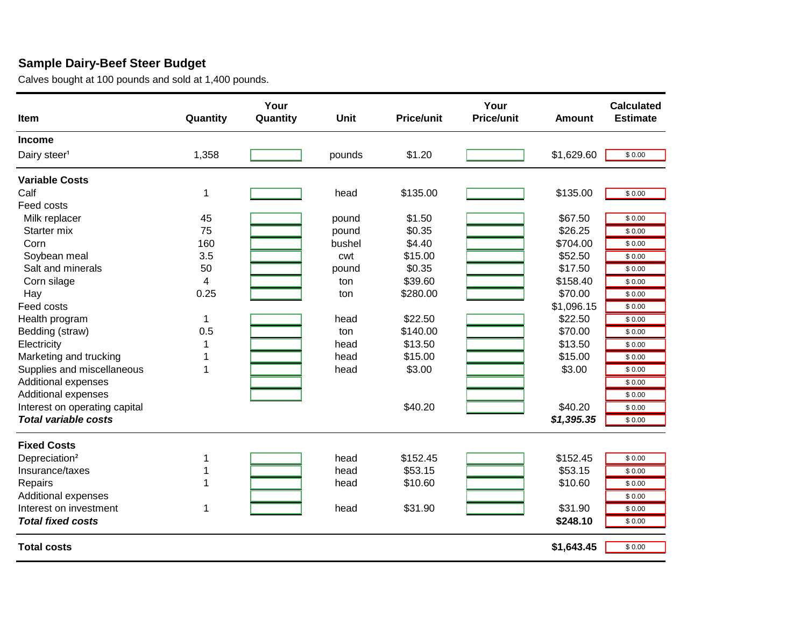## **Örnek Süt - Besi Bütçesi**

Buzağılar 139 USD alındı ve 1945 USD fiyatla satıldı

| <b>Kalem Miktar</b>        |                | İşI.<br><b>Miktarı</b> | <b>Birim</b> | <b>Birim fiyat</b> | İşI.<br><b>Birim/Fiyat</b> | <b>Tutar</b> | <b>Tahmini</b><br><b>Tutar</b> |
|----------------------------|----------------|------------------------|--------------|--------------------|----------------------------|--------------|--------------------------------|
| Gelir                      |                |                        |              |                    |                            |              |                                |
| Süt İneği <sup>1</sup>     | 1,358          | 1.0                    | pounds       | \$1.20             | \$1,000.00                 | \$1,629.60   | \$1,000.00                     |
| Değişken Giderler          |                |                        |              |                    |                            |              |                                |
| Buzağı                     | 1              |                        | head         | \$135.00           |                            | \$135.00     | \$0.00                         |
| Yem giderleri              |                |                        |              |                    |                            |              |                                |
| Süt ikâmesi                | 45             |                        | pound        | \$1.50             |                            | \$67.50      | \$0.00                         |
| Başlangıç rasyonu          | 75             |                        | pound        | \$0.35             |                            | \$26.25      | \$0.00                         |
| Misir                      | 160            |                        | bushel       | \$4.40             |                            | \$704.00     | \$0.00                         |
| Soya fasulyesi küspesi     | 3.5            |                        | cwt          | \$15.00            |                            | \$52.50      | \$0.00                         |
| Tuz ve mineraller          | 50             |                        | pound        | \$0.35             |                            | \$17.50      | \$0.00                         |
| Mısır silajı               | $\overline{4}$ |                        | ton          | \$39.60            |                            | \$158.40     | \$0.00                         |
| Saman                      | 0.25           |                        | ton          | \$280.00           |                            | \$70.00      | \$0.00                         |
| Yem giderleri              |                |                        |              |                    |                            | \$1,096.15   | \$0.00                         |
| Sağlık programı            | $\mathbf{1}$   |                        | head         | \$22.50            |                            | \$22.50      | \$0.00                         |
| Yatak (saman)              | 0.5            |                        | ton          | \$140.00           |                            | \$70.00      | \$0.00                         |
| Elektrik                   | 1              |                        | head         | \$13.50            |                            | \$13.50      | \$0.00                         |
| Pzarlama ve nakliye        | 1              |                        | head         | \$15.00            |                            | \$15.00      | \$0.00                         |
| Kaynak ve sarf malzemeleri | $\mathbf 1$    |                        | head         | \$3.00             |                            | \$3.00       | \$0.00                         |
| Ekstra harcamalar          |                |                        |              |                    |                            |              | \$0.00                         |
| Ekstra harcamalar          |                |                        |              |                    |                            |              | \$0.00                         |
| letme sermayesi            |                |                        |              | \$40.20            |                            | \$40.20      | \$0.00                         |
| Toplam de i ken giderler   |                |                        |              |                    |                            | \$1,395.35   | \$0.00                         |
| <b>Fixed Costs</b>         |                |                        |              |                    |                            |              |                                |
| Depreciation <sup>2</sup>  | 1              |                        | head         | \$152.45           |                            | \$152.45     | \$0.00                         |
| Insurance/taxes            | 1              |                        | head         | \$53.15            |                            | \$53.15      | \$0.00                         |
| Repairs                    | 1              |                        | head         | \$10.60            |                            | \$10.60      | \$0.00                         |
| <b>Additional expenses</b> |                |                        |              |                    |                            |              | \$0.00                         |
| Interest on investment     | 1              |                        | head         | \$31.90            |                            | \$31.90      | \$0.00                         |
| <b>Total fixed costs</b>   |                |                        |              |                    |                            | \$248.10     | \$0.00                         |
| <b>Total costs</b>         |                |                        |              |                    |                            | \$1,643.45   | \$0.00                         |
|                            |                |                        |              |                    |                            |              |                                |